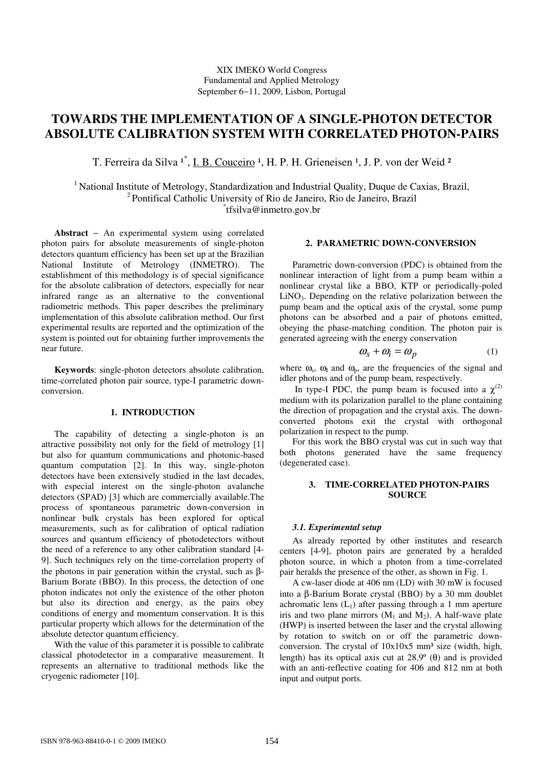# XIX IMEKO World Congress Fundamental and Applied Metrology September 6−11, 2009, Lisbon, Portugal

# **TOWARDS THE IMPLEMENTATION OF A SINGLE-PHOTON DETECTOR ABSOLUTE CALIBRATION SYSTEM WITH CORRELATED PHOTON-PAIRS**

T. Ferreira da Silva <sup>1\*</sup>, <u>I. B. Couceiro</u> <sup>1</sup>, H. P. H. Grieneisen <sup>1</sup>, J. P. von der Weid <sup>2</sup>

<sup>1</sup> National Institute of Metrology, Standardization and Industrial Quality, Duque de Caxias, Brazil, <sup>2</sup>Pontifical Catholic University of Rio de Janeiro, Rio de Janeiro, Brazil \* tfsilva@inmetro.gov.br

**Abstract** − An experimental system using correlated photon pairs for absolute measurements of single-photon detectors quantum efficiency has been set up at the Brazilian National Institute of Metrology (INMETRO). The establishment of this methodology is of special significance for the absolute calibration of detectors, especially for near infrared range as an alternative to the conventional radiometric methods. This paper describes the preliminary implementation of this absolute calibration method. Our first experimental results are reported and the optimization of the system is pointed out for obtaining further improvements the near future.

**Keywords**: single-photon detectors absolute calibration, time-correlated photon pair source, type-I parametric downconversion.

## **1. INTRODUCTION**

The capability of detecting a single-photon is an attractive possibility not only for the field of metrology [1] but also for quantum communications and photonic-based quantum computation [2]. In this way, single-photon detectors have been extensively studied in the last decades, with especial interest on the single-photon avalanche detectors (SPAD) [3] which are commercially available.The process of spontaneous parametric down-conversion in nonlinear bulk crystals has been explored for optical measurements, such as for calibration of optical radiation sources and quantum efficiency of photodetectors without the need of a reference to any other calibration standard [4- 9]. Such techniques rely on the time-correlation property of the photons in pair generation within the crystal, such as β-Barium Borate (BBO). In this process, the detection of one photon indicates not only the existence of the other photon but also its direction and energy, as the pairs obey conditions of energy and momentum conservation. It is this particular property which allows for the determination of the absolute detector quantum efficiency.

With the value of this parameter it is possible to calibrate classical photodetector in a comparative measurement. It represents an alternative to traditional methods like the cryogenic radiometer [10].

# **2. PARAMETRIC DOWN-CONVERSION**

Parametric down-conversion (PDC) is obtained from the nonlinear interaction of light from a pump beam within a nonlinear crystal like a BBO, KTP or periodically-poled  $LiNO<sub>3</sub>$ . Depending on the relative polarization between the pump beam and the optical axis of the crystal, some pump photons can be absorbed and a pair of photons emitted, obeying the phase-matching condition. The photon pair is generated agreeing with the energy conservation

$$
\omega_s + \omega_i = \omega_p \tag{1}
$$

where  $\omega_s$ ,  $\omega_I$  and  $\omega_p$ , are the frequencies of the signal and idler photons and of the pump beam, respectively.

In type-I PDC, the pump beam is focused into a  $\chi^{(2)}$ medium with its polarization parallel to the plane containing the direction of propagation and the crystal axis. The downconverted photons exit the crystal with orthogonal polarization in respect to the pump.

For this work the BBO crystal was cut in such way that both photons generated have the same frequency (degenerated case).

# **3. TIME-CORRELATED PHOTON-PAIRS SOURCE**

# *3.1. Experimental setup*

As already reported by other institutes and research centers [4-9], photon pairs are generated by a heralded photon source, in which a photon from a time-correlated pair heralds the presence of the other, as shown in Fig. 1.

A cw-laser diode at 406 nm (LD) with 30 mW is focused into a β-Barium Borate crystal (BBO) by a 30 mm doublet achromatic lens  $(L_1)$  after passing through a 1 mm aperture iris and two plane mirrors  $(M_1 \text{ and } M_2)$ . A half-wave plate (HWP) is inserted between the laser and the crystal allowing by rotation to switch on or off the parametric downconversion. The crystal of  $10x10x5$  mm<sup>3</sup> size (width, high, length) has its optical axis cut at  $28.9^\circ$  ( $\theta$ ) and is provided with an anti-reflective coating for 406 and 812 nm at both input and output ports.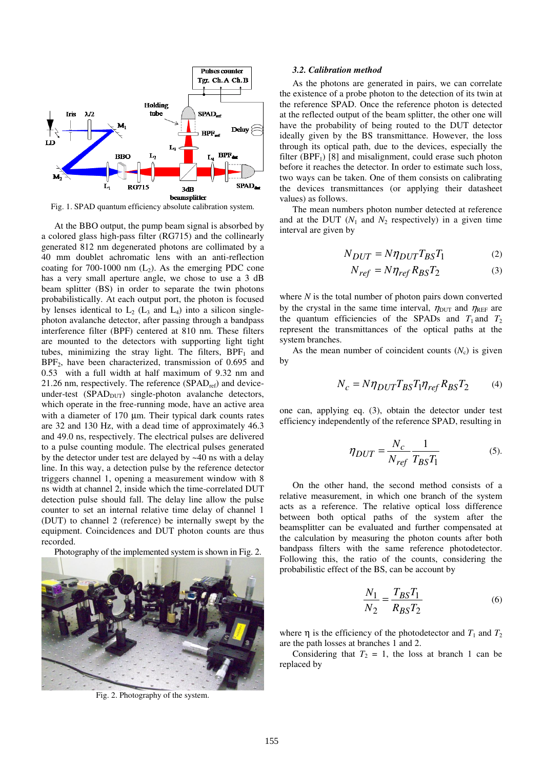

Fig. 1. SPAD quantum efficiency absolute calibration system.

At the BBO output, the pump beam signal is absorbed by a colored glass high-pass filter (RG715) and the collinearly generated 812 nm degenerated photons are collimated by a 40 mm doublet achromatic lens with an anti-reflection coating for 700-1000 nm  $(L_2)$ . As the emerging PDC cone has a very small aperture angle, we chose to use a 3 dB beam splitter (BS) in order to separate the twin photons probabilistically. At each output port, the photon is focused by lenses identical to  $L_2$  ( $L_3$  and  $L_4$ ) into a silicon singlephoton avalanche detector, after passing through a bandpass interference filter (BPF) centered at 810 nm. These filters are mounted to the detectors with supporting light tight tubes, minimizing the stray light. The filters,  $BPF_1$  and BPF2, have been characterized, transmission of 0.695 and 0.53 with a full width at half maximum of 9.32 nm and 21.26 nm, respectively. The reference  $(SPAD<sub>ref</sub>)$  and deviceunder-test  $(SPAD_{DUT})$  single-photon avalanche detectors, which operate in the free-running mode, have an active area with a diameter of 170 um. Their typical dark counts rates are 32 and 130 Hz, with a dead time of approximately 46.3 and 49.0 ns, respectively. The electrical pulses are delivered to a pulse counting module. The electrical pulses generated by the detector under test are delayed by ~40 ns with a delay line. In this way, a detection pulse by the reference detector triggers channel 1, opening a measurement window with 8 ns width at channel 2, inside which the time-correlated DUT detection pulse should fall. The delay line allow the pulse counter to set an internal relative time delay of channel 1 (DUT) to channel 2 (reference) be internally swept by the equipment. Coincidences and DUT photon counts are thus recorded.

Photography of the implemented system is shown in Fig. 2.



Fig. 2. Photography of the system.

#### *3.2. Calibration method*

As the photons are generated in pairs, we can correlate the existence of a probe photon to the detection of its twin at the reference SPAD. Once the reference photon is detected at the reflected output of the beam splitter, the other one will have the probability of being routed to the DUT detector ideally given by the BS transmittance. However, the loss through its optical path, due to the devices, especially the filter (BPF<sub>1</sub>) [8] and misalignment, could erase such photon before it reaches the detector. In order to estimate such loss, two ways can be taken. One of them consists on calibrating the devices transmittances (or applying their datasheet values) as follows.

The mean numbers photon number detected at reference and at the DUT  $(N_1$  and  $N_2$  respectively) in a given time interval are given by

$$
N_{DUT} = N \eta_{DUT} T_{BS} T_1 \tag{2}
$$

$$
N_{ref} = N \eta_{ref} R_{BS} T_2 \tag{3}
$$

where *N* is the total number of photon pairs down converted by the crystal in the same time interval,  $\eta_{\text{DUT}}$  and  $\eta_{\text{REF}}$  are the quantum efficiencies of the SPADs and  $T_1$  and  $T_2$ represent the transmittances of the optical paths at the system branches.

As the mean number of coincident counts  $(N_c)$  is given by

$$
N_c = N\eta_{DUT}T_{BS}T_1\eta_{ref}R_{BS}T_2 \tag{4}
$$

one can, applying eq. (3), obtain the detector under test efficiency independently of the reference SPAD, resulting in

$$
\eta_{DUT} = \frac{N_c}{N_{ref}} \frac{1}{T_{BS} T_1} \tag{5}
$$

On the other hand, the second method consists of a relative measurement, in which one branch of the system acts as a reference. The relative optical loss difference between both optical paths of the system after the beamsplitter can be evaluated and further compensated at the calculation by measuring the photon counts after both bandpass filters with the same reference photodetector. Following this, the ratio of the counts, considering the probabilistic effect of the BS, can be account by

$$
\frac{N_1}{N_2} = \frac{T_{BS}T_1}{R_{BS}T_2}
$$
 (6)

where  $\eta$  is the efficiency of the photodetector and  $T_1$  and  $T_2$ are the path losses at branches 1 and 2.

Considering that  $T_2 = 1$ , the loss at branch 1 can be replaced by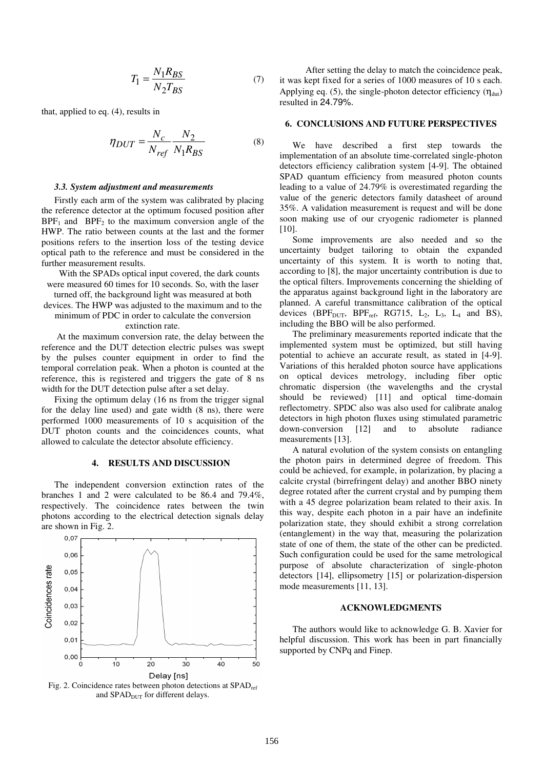$$
T_1 = \frac{N_1 R_{BS}}{N_2 T_{BS}}\tag{7}
$$

that, applied to eq. (4), results in

$$
\eta_{DUT} = \frac{N_c}{N_{ref}} \frac{N_2}{N_1 R_{BS}} \tag{8}
$$

## *3.3. System adjustment and measurements*

Firstly each arm of the system was calibrated by placing the reference detector at the optimum focused position after  $BPF_1$  and  $BPF_2$  to the maximum conversion angle of the HWP. The ratio between counts at the last and the former positions refers to the insertion loss of the testing device optical path to the reference and must be considered in the further measurement results.

With the SPADs optical input covered, the dark counts were measured 60 times for 10 seconds. So, with the laser turned off, the background light was measured at both devices. The HWP was adjusted to the maximum and to the

minimum of PDC in order to calculate the conversion extinction rate.

 At the maximum conversion rate, the delay between the reference and the DUT detection electric pulses was swept by the pulses counter equipment in order to find the temporal correlation peak. When a photon is counted at the reference, this is registered and triggers the gate of 8 ns width for the DUT detection pulse after a set delay.

Fixing the optimum delay (16 ns from the trigger signal for the delay line used) and gate width (8 ns), there were performed 1000 measurements of 10 s acquisition of the DUT photon counts and the coincidences counts, what allowed to calculate the detector absolute efficiency.

# **4. RESULTS AND DISCUSSION**

The independent conversion extinction rates of the branches 1 and 2 were calculated to be 86.4 and 79.4%, respectively. The coincidence rates between the twin photons according to the electrical detection signals delay are shown in Fig. 2.



and  $SPAD<sub>DUT</sub>$  for different delays.

 After setting the delay to match the coincidence peak, it was kept fixed for a series of 1000 measures of 10 s each. Applying eq. (5), the single-photon detector efficiency  $(\eta_{\text{dut}})$ resulted in 24.79%.

#### **6. CONCLUSIONS AND FUTURE PERSPECTIVES**

We have described a first step towards the implementation of an absolute time-correlated single-photon detectors efficiency calibration system [4-9]. The obtained SPAD quantum efficiency from measured photon counts leading to a value of 24.79% is overestimated regarding the value of the generic detectors family datasheet of around 35%. A validation measurement is request and will be done soon making use of our cryogenic radiometer is planned [10].

Some improvements are also needed and so the uncertainty budget tailoring to obtain the expanded uncertainty of this system. It is worth to noting that, according to [8], the major uncertainty contribution is due to the optical filters. Improvements concerning the shielding of the apparatus against background light in the laboratory are planned. A careful transmittance calibration of the optical devices (BPF<sub>DUT</sub>, BPF<sub>ref</sub>, RG715, L<sub>2</sub>, L<sub>3</sub>, L<sub>4</sub> and BS), including the BBO will be also performed.

The preliminary measurements reported indicate that the implemented system must be optimized, but still having potential to achieve an accurate result, as stated in [4-9]. Variations of this heralded photon source have applications on optical devices metrology, including fiber optic chromatic dispersion (the wavelengths and the crystal should be reviewed) [11] and optical time-domain reflectometry. SPDC also was also used for calibrate analog detectors in high photon fluxes using stimulated parametric down-conversion [12] and to absolute radiance measurements [13].

A natural evolution of the system consists on entangling the photon pairs in determined degree of freedom. This could be achieved, for example, in polarization, by placing a calcite crystal (birrefringent delay) and another BBO ninety degree rotated after the current crystal and by pumping them with a 45 degree polarization beam related to their axis. In this way, despite each photon in a pair have an indefinite polarization state, they should exhibit a strong correlation (entanglement) in the way that, measuring the polarization state of one of them, the state of the other can be predicted. Such configuration could be used for the same metrological purpose of absolute characterization of single-photon detectors [14], ellipsometry [15] or polarization-dispersion mode measurements [11, 13].

# **ACKNOWLEDGMENTS**

The authors would like to acknowledge G. B. Xavier for helpful discussion. This work has been in part financially supported by CNPq and Finep.